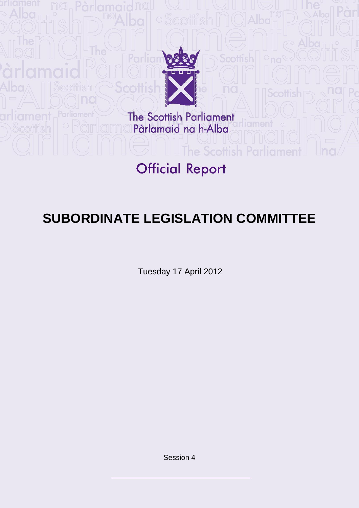

The Scottish Parliament<br>Pàrlamaid na h-Alba

# **Official Report**

**The Scottish** 

## **SUBORDINATE LEGISLATION COMMITTEE**

Tuesday 17 April 2012

Session 4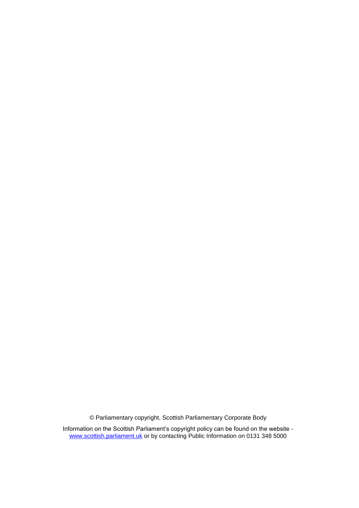© Parliamentary copyright. Scottish Parliamentary Corporate Body

Information on the Scottish Parliament"s copyright policy can be found on the website [www.scottish.parliament.uk](http://www.scottish.parliament.uk/) or by contacting Public Information on 0131 348 5000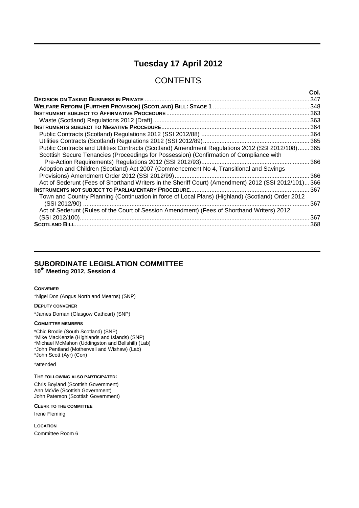## **Tuesday 17 April 2012**

## **CONTENTS**

| 347                                                                                                  |
|------------------------------------------------------------------------------------------------------|
|                                                                                                      |
|                                                                                                      |
|                                                                                                      |
|                                                                                                      |
|                                                                                                      |
|                                                                                                      |
| Public Contracts and Utilities Contracts (Scotland) Amendment Regulations 2012 (SSI 2012/108) 365    |
| Scottish Secure Tenancies (Proceedings for Possession) (Confirmation of Compliance with              |
| 366                                                                                                  |
| Adoption and Children (Scotland) Act 2007 (Commencement No 4, Transitional and Savings               |
| 366                                                                                                  |
| Act of Sederunt (Fees of Shorthand Writers in the Sheriff Court) (Amendment) 2012 (SSI 2012/101) 366 |
|                                                                                                      |
| Town and Country Planning (Continuation in force of Local Plans) (Highland) (Scotland) Order 2012    |
| 367                                                                                                  |
| Act of Sederunt (Rules of the Court of Session Amendment) (Fees of Shorthand Writers) 2012           |
| 367                                                                                                  |
| 368                                                                                                  |

## **SUBORDINATE LEGISLATION COMMITTEE**

**10th Meeting 2012, Session 4**

#### **CONVENER**

\*Nigel Don (Angus North and Mearns) (SNP)

#### **DEPUTY CONVENER**

\*James Dornan (Glasgow Cathcart) (SNP)

#### **COMMITTEE MEMBERS**

\*Chic Brodie (South Scotland) (SNP) \*Mike MacKenzie (Highlands and Islands) (SNP) \*Michael McMahon (Uddingston and Bellshill) (Lab) \*John Pentland (Motherwell and Wishaw) (Lab) \*John Scott (Ayr) (Con)

#### \*attended

#### **THE FOLLOWING ALSO PARTICIPATED:**

Chris Boyland (Scottish Government) Ann McVie (Scottish Government) John Paterson (Scottish Government)

**CLERK TO THE COMMITTEE**

Irene Fleming

**LOCATION** Committee Room 6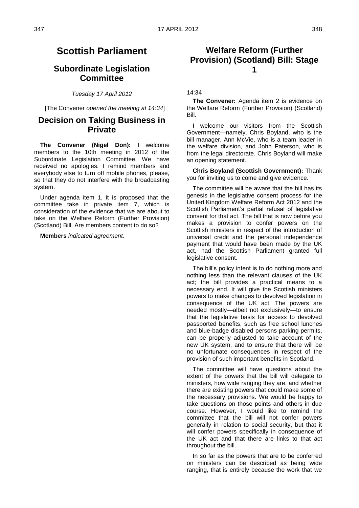## **Scottish Parliament**

## **Subordinate Legislation Committee**

*Tuesday 17 April 2012*

[The Convener *opened the meeting at 14:34*]

### **Decision on Taking Business in Private**

**The Convener (Nigel Don):** I welcome members to the 10th meeting in 2012 of the Subordinate Legislation Committee. We have received no apologies. I remind members and everybody else to turn off mobile phones, please, so that they do not interfere with the broadcasting system.

Under agenda item 1, it is proposed that the committee take in private item 7, which is consideration of the evidence that we are about to take on the Welfare Reform (Further Provision) (Scotland) Bill. Are members content to do so?

**Members** *indicated agreement.*

## **Welfare Reform (Further Provision) (Scotland) Bill: Stage 1**

14:34

**The Convener:** Agenda item 2 is evidence on the Welfare Reform (Further Provision) (Scotland) Bill.

I welcome our visitors from the Scottish Government—namely, Chris Boyland, who is the bill manager, Ann McVie, who is a team leader in the welfare division, and John Paterson, who is from the legal directorate. Chris Boyland will make an opening statement.

**Chris Boyland (Scottish Government):** Thank you for inviting us to come and give evidence.

The committee will be aware that the bill has its genesis in the legislative consent process for the United Kingdom Welfare Reform Act 2012 and the Scottish Parliament's partial refusal of legislative consent for that act. The bill that is now before you makes a provision to confer powers on the Scottish ministers in respect of the introduction of universal credit and the personal independence payment that would have been made by the UK act, had the Scottish Parliament granted full legislative consent.

The bill"s policy intent is to do nothing more and nothing less than the relevant clauses of the UK act; the bill provides a practical means to a necessary end. It will give the Scottish ministers powers to make changes to devolved legislation in consequence of the UK act. The powers are needed mostly—albeit not exclusively—to ensure that the legislative basis for access to devolved passported benefits, such as free school lunches and blue-badge disabled persons parking permits, can be properly adjusted to take account of the new UK system, and to ensure that there will be no unfortunate consequences in respect of the provision of such important benefits in Scotland.

The committee will have questions about the extent of the powers that the bill will delegate to ministers, how wide ranging they are, and whether there are existing powers that could make some of the necessary provisions. We would be happy to take questions on those points and others in due course. However, I would like to remind the committee that the bill will not confer powers generally in relation to social security, but that it will confer powers specifically in consequence of the UK act and that there are links to that act throughout the bill.

In so far as the powers that are to be conferred on ministers can be described as being wide ranging, that is entirely because the work that we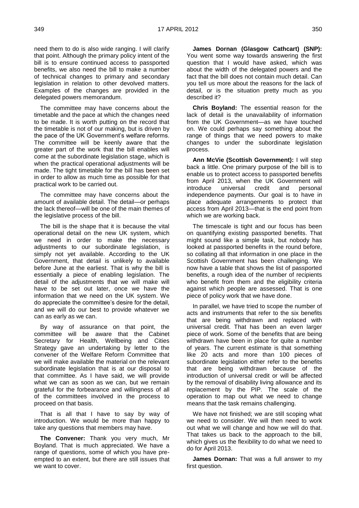need them to do is also wide ranging. I will clarify that point. Although the primary policy intent of the bill is to ensure continued access to passported benefits, we also need the bill to make a number of technical changes to primary and secondary legislation in relation to other devolved matters. Examples of the changes are provided in the delegated powers memorandum.

The committee may have concerns about the timetable and the pace at which the changes need to be made. It is worth putting on the record that the timetable is not of our making, but is driven by the pace of the UK Government"s welfare reforms. The committee will be keenly aware that the greater part of the work that the bill enables will come at the subordinate legislation stage, which is when the practical operational adjustments will be made. The tight timetable for the bill has been set in order to allow as much time as possible for that practical work to be carried out.

The committee may have concerns about the amount of available detail. The detail—or perhaps the lack thereof—will be one of the main themes of the legislative process of the bill.

The bill is the shape that it is because the vital operational detail on the new UK system, which we need in order to make the necessary adjustments to our subordinate legislation, is simply not yet available. According to the UK Government, that detail is unlikely to available before June at the earliest. That is why the bill is essentially a piece of enabling legislation. The detail of the adjustments that we will make will have to be set out later, once we have the information that we need on the UK system. We do appreciate the committee"s desire for the detail, and we will do our best to provide whatever we can as early as we can.

By way of assurance on that point, the committee will be aware that the Cabinet Secretary for Health, Wellbeing and Cities Strategy gave an undertaking by letter to the convener of the Welfare Reform Committee that we will make available the material on the relevant subordinate legislation that is at our disposal to that committee. As I have said, we will provide what we can as soon as we can, but we remain grateful for the forbearance and willingness of all of the committees involved in the process to proceed on that basis.

That is all that I have to say by way of introduction. We would be more than happy to take any questions that members may have.

**The Convener:** Thank you very much, Mr Boyland. That is much appreciated. We have a range of questions, some of which you have preempted to an extent, but there are still issues that we want to cover.

**James Dornan (Glasgow Cathcart) (SNP):**  You went some way towards answering the first question that I would have asked, which was about the width of the delegated powers and the fact that the bill does not contain much detail. Can you tell us more about the reasons for the lack of detail, or is the situation pretty much as you described it?

**Chris Boyland:** The essential reason for the lack of detail is the unavailability of information from the UK Government—as we have touched on. We could perhaps say something about the range of things that we need powers to make changes to under the subordinate legislation process.

**Ann McVie (Scottish Government):** I will step back a little. One primary purpose of the bill is to enable us to protect access to passported benefits from April 2013, when the UK Government will introduce universal credit and personal independence payments. Our goal is to have in place adequate arrangements to protect that access from April 2013—that is the end point from which we are working back.

The timescale is tight and our focus has been on quantifying existing passported benefits. That might sound like a simple task, but nobody has looked at passported benefits in the round before, so collating all that information in one place in the Scottish Government has been challenging. We now have a table that shows the list of passported benefits, a rough idea of the number of recipients who benefit from them and the eligibility criteria against which people are assessed. That is one piece of policy work that we have done.

In parallel, we have tried to scope the number of acts and instruments that refer to the six benefits that are being withdrawn and replaced with universal credit. That has been an even larger piece of work. Some of the benefits that are being withdrawn have been in place for quite a number of years. The current estimate is that something like 20 acts and more than 100 pieces of subordinate legislation either refer to the benefits that are being withdrawn because of the introduction of universal credit or will be affected by the removal of disability living allowance and its replacement by the PIP. The scale of the operation to map out what we need to change means that the task remains challenging.

We have not finished; we are still scoping what we need to consider. We will then need to work out what we will change and how we will do that. That takes us back to the approach to the bill, which gives us the flexibility to do what we need to do for April 2013.

**James Dornan:** That was a full answer to my first question.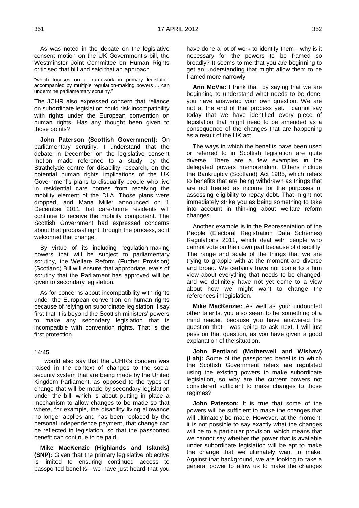As was noted in the debate on the legislative consent motion on the UK Government"s bill, the Westminster Joint Committee on Human Rights criticised that bill and said that an approach

"which focuses on a framework in primary legislation accompanied by multiple regulation-making powers ... can undermine parliamentary scrutiny."

The JCHR also expressed concern that reliance on subordinate legislation could risk incompatibility with rights under the European convention on human rights. Has any thought been given to those points?

**John Paterson (Scottish Government):** On parliamentary scrutiny, I understand that the debate in December on the legislative consent motion made reference to a study, by the Strathclyde centre for disability research, on the potential human rights implications of the UK Government"s plans to disqualify people who live in residential care homes from receiving the mobility element of the DLA. Those plans were dropped, and Maria Miller announced on 1 December 2011 that care-home residents will continue to receive the mobility component. The Scottish Government had expressed concerns about that proposal right through the process, so it welcomed that change.

By virtue of its including regulation-making powers that will be subject to parliamentary scrutiny, the Welfare Reform (Further Provision) (Scotland) Bill will ensure that appropriate levels of scrutiny that the Parliament has approved will be given to secondary legislation.

As for concerns about incompatibility with rights under the European convention on human rights because of relying on subordinate legislation, I say first that it is beyond the Scottish ministers' powers to make any secondary legislation that is incompatible with convention rights. That is the first protection.

#### 14:45

I would also say that the JCHR"s concern was raised in the context of changes to the social security system that are being made by the United Kingdom Parliament, as opposed to the types of change that will be made by secondary legislation under the bill, which is about putting in place a mechanism to allow changes to be made so that where, for example, the disability living allowance no longer applies and has been replaced by the personal independence payment, that change can be reflected in legislation, so that the passported benefit can continue to be paid.

**Mike MacKenzie (Highlands and Islands) (SNP):** Given that the primary legislative objective is limited to ensuring continued access to passported benefits—we have just heard that you have done a lot of work to identify them—why is it necessary for the powers to be framed so broadly? It seems to me that you are beginning to get an understanding that might allow them to be framed more narrowly.

**Ann McVie:** I think that, by saying that we are beginning to understand what needs to be done, you have answered your own question. We are not at the end of that process yet. I cannot say today that we have identified every piece of legislation that might need to be amended as a consequence of the changes that are happening as a result of the UK act.

The ways in which the benefits have been used or referred to in Scottish legislation are quite diverse. There are a few examples in the delegated powers memorandum. Others include the Bankruptcy (Scotland) Act 1985, which refers to benefits that are being withdrawn as things that are not treated as income for the purposes of assessing eligibility to repay debt. That might not immediately strike you as being something to take into account in thinking about welfare reform changes.

Another example is in the Representation of the People (Electoral Registration Data Schemes) Regulations 2011, which deal with people who cannot vote on their own part because of disability. The range and scale of the things that we are trying to grapple with at the moment are diverse and broad. We certainly have not come to a firm view about everything that needs to be changed, and we definitely have not yet come to a view about how we might want to change the references in legislation.

**Mike MacKenzie:** As well as your undoubted other talents, you also seem to be something of a mind reader, because you have answered the question that I was going to ask next. I will just pass on that question, as you have given a good explanation of the situation.

**John Pentland (Motherwell and Wishaw) (Lab):** Some of the passported benefits to which the Scottish Government refers are regulated using the existing powers to make subordinate legislation, so why are the current powers not considered sufficient to make changes to those regimes?

**John Paterson:** It is true that some of the powers will be sufficient to make the changes that will ultimately be made. However, at the moment, it is not possible to say exactly what the changes will be to a particular provision, which means that we cannot say whether the power that is available under subordinate legislation will be apt to make the change that we ultimately want to make. Against that background, we are looking to take a general power to allow us to make the changes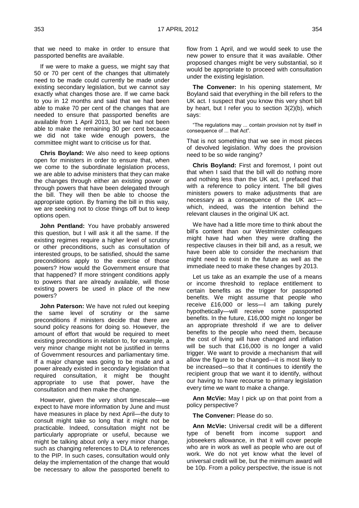that we need to make in order to ensure that passported benefits are available.

If we were to make a guess, we might say that 50 or 70 per cent of the changes that ultimately need to be made could currently be made under existing secondary legislation, but we cannot say exactly what changes those are. If we came back to you in 12 months and said that we had been able to make 70 per cent of the changes that are needed to ensure that passported benefits are available from 1 April 2013, but we had not been able to make the remaining 30 per cent because we did not take wide enough powers, the committee might want to criticise us for that.

**Chris Boyland:** We also need to keep options open for ministers in order to ensure that, when we come to the subordinate legislation process, we are able to advise ministers that they can make the changes through either an existing power or through powers that have been delegated through the bill. They will then be able to choose the appropriate option. By framing the bill in this way, we are seeking not to close things off but to keep options open.

**John Pentland:** You have probably answered this question, but I will ask it all the same. If the existing regimes require a higher level of scrutiny or other preconditions, such as consultation of interested groups, to be satisfied, should the same preconditions apply to the exercise of those powers? How would the Government ensure that that happened? If more stringent conditions apply to powers that are already available, will those existing powers be used in place of the new powers?

**John Paterson:** We have not ruled out keeping the same level of scrutiny or the same preconditions if ministers decide that there are sound policy reasons for doing so. However, the amount of effort that would be required to meet existing preconditions in relation to, for example, a very minor change might not be justified in terms of Government resources and parliamentary time. If a major change was going to be made and a power already existed in secondary legislation that required consultation, it might be thought appropriate to use that power, have the consultation and then make the change.

However, given the very short timescale—we expect to have more information by June and must have measures in place by next April—the duty to consult might take so long that it might not be practicable. Indeed, consultation might not be particularly appropriate or useful, because we might be talking about only a very minor change, such as changing references to DLA to references to the PIP. In such cases, consultation would only delay the implementation of the change that would be necessary to allow the passported benefit to

flow from 1 April, and we would seek to use the new power to ensure that it was available. Other proposed changes might be very substantial, so it would be appropriate to proceed with consultation under the existing legislation.

**The Convener:** In his opening statement, Mr Boyland said that everything in the bill refers to the UK act. I suspect that you know this very short bill by heart, but I refer you to section 3(2)(b), which says:

"The regulations may ... contain provision not by itself in consequence of ... that Act".

That is not something that we see in most pieces of devolved legislation. Why does the provision need to be so wide ranging?

**Chris Boyland:** First and foremost, I point out that when I said that the bill will do nothing more and nothing less than the UK act, I prefaced that with a reference to policy intent. The bill gives ministers powers to make adjustments that are necessary as a consequence of the UK act which, indeed, was the intention behind the relevant clauses in the original UK act.

We have had a little more time to think about the bill"s content than our Westminster colleagues might have had when they were drafting the respective clauses in their bill and, as a result, we have been able to consider the mechanism that might need to exist in the future as well as the immediate need to make these changes by 2013.

Let us take as an example the use of a means or income threshold to replace entitlement to certain benefits as the trigger for passported benefits. We might assume that people who receive £16,000 or less—I am talking purely hypothetically—will receive some passported benefits. In the future, £16,000 might no longer be an appropriate threshold if we are to deliver benefits to the people who need them, because the cost of living will have changed and inflation will be such that £16,000 is no longer a valid trigger. We want to provide a mechanism that will allow the figure to be changed—it is most likely to be increased—so that it continues to identify the recipient group that we want it to identify, without our having to have recourse to primary legislation every time we want to make a change.

**Ann McVie:** May I pick up on that point from a policy perspective?

#### **The Convener:** Please do so.

**Ann McVie:** Universal credit will be a different type of benefit from income support and jobseekers allowance, in that it will cover people who are in work as well as people who are out of work. We do not yet know what the level of universal credit will be, but the minimum award will be 10p. From a policy perspective, the issue is not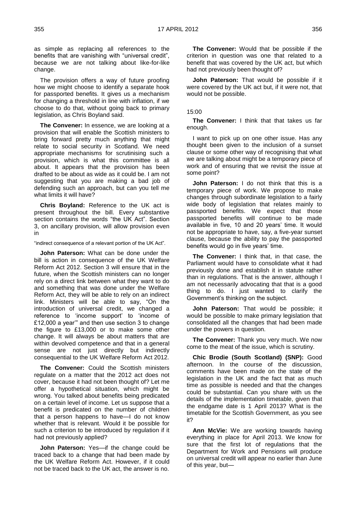as simple as replacing all references to the benefits that are vanishing with "universal credit", because we are not talking about like-for-like change.

The provision offers a way of future proofing how we might choose to identify a separate hook for passported benefits. It gives us a mechanism for changing a threshold in line with inflation, if we choose to do that, without going back to primary legislation, as Chris Boyland said.

**The Convener:** In essence, we are looking at a provision that will enable the Scottish ministers to bring forward pretty much anything that might relate to social security in Scotland. We need appropriate mechanisms for scrutinising such a provision, which is what this committee is all about. It appears that the provision has been drafted to be about as wide as it could be. I am not suggesting that you are making a bad job of defending such an approach, but can you tell me what limits it will have?

**Chris Boyland:** Reference to the UK act is present throughout the bill. Every substantive section contains the words "the UK Act". Section 3, on ancillary provision, will allow provision even in

"indirect consequence of a relevant portion of the UK Act".

**John Paterson:** What can be done under the bill is action in consequence of the UK Welfare Reform Act 2012. Section 3 will ensure that in the future, when the Scottish ministers can no longer rely on a direct link between what they want to do and something that was done under the Welfare Reform Act, they will be able to rely on an indirect link. Ministers will be able to say, "On the introduction of universal credit, we changed a reference to "income support" to "income of £12,000 a year"" and then use section 3 to change the figure to £13,000 or to make some other change. It will always be about matters that are within devolved competence and that in a general sense are not just directly but indirectly consequential to the UK Welfare Reform Act 2012.

**The Convener:** Could the Scottish ministers regulate on a matter that the 2012 act does not cover, because it had not been thought of? Let me offer a hypothetical situation, which might be wrong. You talked about benefits being predicated on a certain level of income. Let us suppose that a benefit is predicated on the number of children that a person happens to have—I do not know whether that is relevant. Would it be possible for such a criterion to be introduced by regulation if it had not previously applied?

**John Paterson:** Yes—if the change could be traced back to a change that had been made by the UK Welfare Reform Act. However, if it could not be traced back to the UK act, the answer is no.

**The Convener:** Would that be possible if the criterion in question was one that related to a benefit that was covered by the UK act, but which had not previously been thought of?

**John Paterson:** That would be possible if it were covered by the UK act but, if it were not, that would not be possible.

#### 15:00

**The Convener:** I think that that takes us far enough.

I want to pick up on one other issue. Has any thought been given to the inclusion of a sunset clause or some other way of recognising that what we are talking about might be a temporary piece of work and of ensuring that we revisit the issue at some point?

**John Paterson:** I do not think that this is a temporary piece of work. We propose to make changes through subordinate legislation to a fairly wide body of legislation that relates mainly to passported benefits. We expect that those passported benefits will continue to be made available in five, 10 and 20 years' time. It would not be appropriate to have, say, a five-year sunset clause, because the ability to pay the passported benefits would go in five years' time.

**The Convener:** I think that, in that case, the Parliament would have to consolidate what it had previously done and establish it in statute rather than in regulations. That is the answer, although I am not necessarily advocating that that is a good thing to do. I just wanted to clarify the Government"s thinking on the subject.

**John Paterson:** That would be possible; it would be possible to make primary legislation that consolidated all the changes that had been made under the powers in question.

**The Convener:** Thank you very much. We now come to the meat of the issue, which is scrutiny.

**Chic Brodie (South Scotland) (SNP):** Good afternoon. In the course of the discussion, comments have been made on the state of the legislation in the UK and the fact that as much time as possible is needed and that the changes could be substantial. Can you share with us the details of the implementation timetable, given that the endgame date is 1 April 2013? What is the timetable for the Scottish Government, as you see it?

**Ann McVie:** We are working towards having everything in place for April 2013. We know for sure that the first lot of regulations that the Department for Work and Pensions will produce on universal credit will appear no earlier than June of this year, but—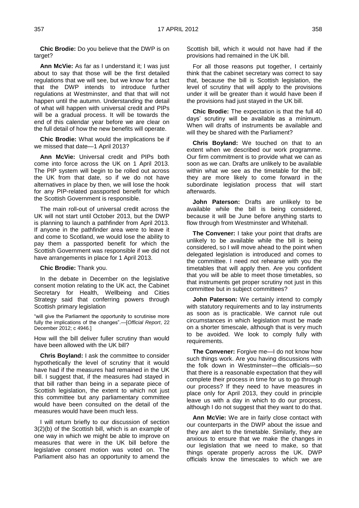**Chic Brodie:** Do you believe that the DWP is on target?

**Ann McVie:** As far as I understand it; I was just about to say that those will be the first detailed regulations that we will see, but we know for a fact that the DWP intends to introduce further regulations at Westminster, and that that will not happen until the autumn. Understanding the detail of what will happen with universal credit and PIPs will be a gradual process. It will be towards the end of this calendar year before we are clear on the full detail of how the new benefits will operate.

**Chic Brodie:** What would the implications be if we missed that date—1 April 2013?

**Ann McVie:** Universal credit and PIPs both come into force across the UK on 1 April 2013. The PIP system will begin to be rolled out across the UK from that date, so if we do not have alternatives in place by then, we will lose the hook for any PIP-related passported benefit for which the Scottish Government is responsible.

The main roll-out of universal credit across the UK will not start until October 2013, but the DWP is planning to launch a pathfinder from April 2013. If anyone in the pathfinder area were to leave it and come to Scotland, we would lose the ability to pay them a passported benefit for which the Scottish Government was responsible if we did not have arrangements in place for 1 April 2013.

**Chic Brodie:** Thank you.

In the debate in December on the legislative consent motion relating to the UK act, the Cabinet Secretary for Health, Wellbeing and Cities Strategy said that conferring powers through Scottish primary legislation

"will give the Parliament the opportunity to scrutinise more fully the implications of the changes".—[*Official Report*, 22 December 2012; c 4946.]

How will the bill deliver fuller scrutiny than would have been allowed with the UK bill?

**Chris Boyland:** I ask the committee to consider hypothetically the level of scrutiny that it would have had if the measures had remained in the UK bill. I suggest that, if the measures had stayed in that bill rather than being in a separate piece of Scottish legislation, the extent to which not just this committee but any parliamentary committee would have been consulted on the detail of the measures would have been much less.

I will return briefly to our discussion of section 3(2)(b) of the Scottish bill, which is an example of one way in which we might be able to improve on measures that were in the UK bill before the legislative consent motion was voted on. The Parliament also has an opportunity to amend the

Scottish bill, which it would not have had if the provisions had remained in the UK bill.

For all those reasons put together, I certainly think that the cabinet secretary was correct to say that, because the bill is Scottish legislation, the level of scrutiny that will apply to the provisions under it will be greater than it would have been if the provisions had just stayed in the UK bill.

**Chic Brodie:** The expectation is that the full 40 days" scrutiny will be available as a minimum. When will drafts of instruments be available and will they be shared with the Parliament?

**Chris Boyland:** We touched on that to an extent when we described our work programme. Our firm commitment is to provide what we can as soon as we can. Drafts are unlikely to be available within what we see as the timetable for the bill; they are more likely to come forward in the subordinate legislation process that will start afterwards.

**John Paterson:** Drafts are unlikely to be available while the bill is being considered, because it will be June before anything starts to flow through from Westminster and Whitehall.

**The Convener:** I take your point that drafts are unlikely to be available while the bill is being considered, so I will move ahead to the point when delegated legislation is introduced and comes to the committee. I need not rehearse with you the timetables that will apply then. Are you confident that you will be able to meet those timetables, so that instruments get proper scrutiny not just in this committee but in subject committees?

**John Paterson:** We certainly intend to comply with statutory requirements and to lay instruments as soon as is practicable. We cannot rule out circumstances in which legislation must be made on a shorter timescale, although that is very much to be avoided. We look to comply fully with requirements.

**The Convener:** Forgive me—I do not know how such things work. Are you having discussions with the folk down in Westminster—the officials—so that there is a reasonable expectation that they will complete their process in time for us to go through our process? If they need to have measures in place only for April 2013, they could in principle leave us with a day in which to do our process, although I do not suggest that they want to do that.

**Ann McVie:** We are in fairly close contact with our counterparts in the DWP about the issue and they are alert to the timetable. Similarly, they are anxious to ensure that we make the changes in our legislation that we need to make, so that things operate properly across the UK. DWP officials know the timescales to which we are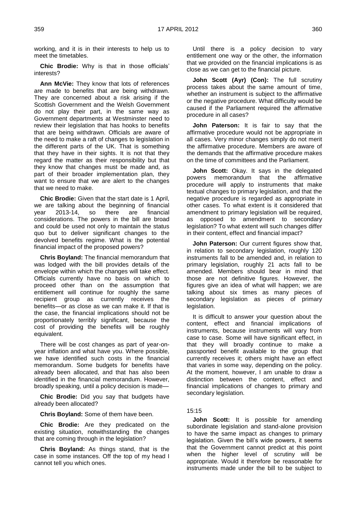working, and it is in their interests to help us to meet the timetables.

**Chic Brodie:** Why is that in those officials" interests?

**Ann McVie:** They know that lots of references are made to benefits that are being withdrawn. They are concerned about a risk arising if the Scottish Government and the Welsh Government do not play their part, in the same way as Government departments at Westminster need to review their legislation that has hooks to benefits that are being withdrawn. Officials are aware of the need to make a raft of changes to legislation in the different parts of the UK. That is something that they have in their sights. It is not that they regard the matter as their responsibility but that they know that changes must be made and, as part of their broader implementation plan, they want to ensure that we are alert to the changes that we need to make.

**Chic Brodie:** Given that the start date is 1 April, we are talking about the beginning of financial year 2013-14, so there are financial considerations. The powers in the bill are broad and could be used not only to maintain the status quo but to deliver significant changes to the devolved benefits regime. What is the potential financial impact of the proposed powers?

**Chris Boyland:** The financial memorandum that was lodged with the bill provides details of the envelope within which the changes will take effect. Officials currently have no basis on which to proceed other than on the assumption that entitlement will continue for roughly the same recipient group as currently receives the benefits—or as close as we can make it. If that is the case, the financial implications should not be proportionately terribly significant, because the cost of providing the benefits will be roughly equivalent.

There will be cost changes as part of year-onyear inflation and what have you. Where possible, we have identified such costs in the financial memorandum. Some budgets for benefits have already been allocated, and that has also been identified in the financial memorandum. However, broadly speaking, until a policy decision is made—

**Chic Brodie:** Did you say that budgets have already been allocated?

**Chris Boyland:** Some of them have been.

**Chic Brodie:** Are they predicated on the existing situation, notwithstanding the changes that are coming through in the legislation?

**Chris Boyland:** As things stand, that is the case in some instances. Off the top of my head I cannot tell you which ones.

Until there is a policy decision to vary entitlement one way or the other, the information that we provided on the financial implications is as close as we can get to the financial picture.

**John Scott (Ayr) (Con):** The full scrutiny process takes about the same amount of time, whether an instrument is subject to the affirmative or the negative procedure. What difficulty would be caused if the Parliament required the affirmative procedure in all cases?

**John Paterson:** It is fair to say that the affirmative procedure would not be appropriate in all cases. Very minor changes simply do not merit the affirmative procedure. Members are aware of the demands that the affirmative procedure makes on the time of committees and the Parliament.

**John Scott:** Okay. It says in the delegated powers memorandum that the affirmative procedure will apply to instruments that make textual changes to primary legislation, and that the negative procedure is regarded as appropriate in other cases. To what extent is it considered that amendment to primary legislation will be required, as opposed to amendment to secondary legislation? To what extent will such changes differ in their content, effect and financial impact?

**John Paterson:** Our current figures show that, in relation to secondary legislation, roughly 120 instruments fall to be amended and, in relation to primary legislation, roughly 21 acts fall to be amended. Members should bear in mind that those are not definitive figures. However, the figures give an idea of what will happen; we are talking about six times as many pieces of secondary legislation as pieces of primary legislation.

It is difficult to answer your question about the content, effect and financial implications of instruments, because instruments will vary from case to case. Some will have significant effect, in that they will broadly continue to make a passported benefit available to the group that currently receives it; others might have an effect that varies in some way, depending on the policy. At the moment, however, I am unable to draw a distinction between the content, effect and financial implications of changes to primary and secondary legislation.

#### 15:15

**John Scott:** It is possible for amending subordinate legislation and stand-alone provision to have the same impact as changes to primary legislation. Given the bill"s wide powers, it seems that the Government cannot predict at this point when the higher level of scrutiny will be appropriate. Would it therefore be reasonable for instruments made under the bill to be subject to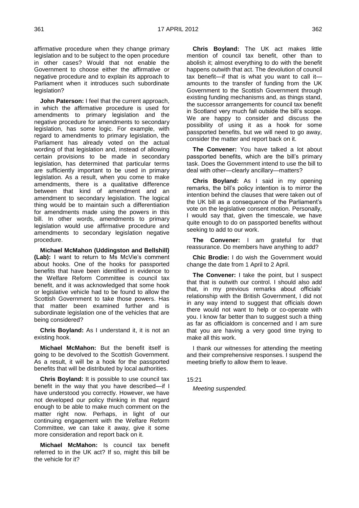affirmative procedure when they change primary legislation and to be subject to the open procedure in other cases? Would that not enable the Government to choose either the affirmative or negative procedure and to explain its approach to Parliament when it introduces such subordinate legislation?

**John Paterson:** I feel that the current approach, in which the affirmative procedure is used for amendments to primary legislation and the negative procedure for amendments to secondary legislation, has some logic. For example, with regard to amendments to primary legislation, the Parliament has already voted on the actual wording of that legislation and, instead of allowing certain provisions to be made in secondary legislation, has determined that particular terms are sufficiently important to be used in primary legislation. As a result, when you come to make amendments, there is a qualitative difference between that kind of amendment and an amendment to secondary legislation. The logical thing would be to maintain such a differentiation for amendments made using the powers in this bill. In other words, amendments to primary legislation would use affirmative procedure and amendments to secondary legislation negative procedure.

**Michael McMahon (Uddingston and Bellshill) (Lab):** I want to return to Ms McVie"s comment about hooks. One of the hooks for passported benefits that have been identified in evidence to the Welfare Reform Committee is council tax benefit, and it was acknowledged that some hook or legislative vehicle had to be found to allow the Scottish Government to take those powers. Has that matter been examined further and is subordinate legislation one of the vehicles that are being considered?

**Chris Boyland:** As I understand it, it is not an existing hook.

**Michael McMahon:** But the benefit itself is going to be devolved to the Scottish Government. As a result, it will be a hook for the passported benefits that will be distributed by local authorities.

**Chris Boyland:** It is possible to use council tax benefit in the way that you have described—if I have understood you correctly. However, we have not developed our policy thinking in that regard enough to be able to make much comment on the matter right now. Perhaps, in light of our continuing engagement with the Welfare Reform Committee, we can take it away, give it some more consideration and report back on it.

**Michael McMahon:** Is council tax benefit referred to in the UK act? If so, might this bill be the vehicle for it?

**Chris Boyland:** The UK act makes little mention of council tax benefit, other than to abolish it; almost everything to do with the benefit happens outwith that act. The devolution of council tax benefit—if that is what you want to call it amounts to the transfer of funding from the UK Government to the Scottish Government through existing funding mechanisms and, as things stand, the successor arrangements for council tax benefit in Scotland very much fall outside the bill"s scope. We are happy to consider and discuss the possibility of using it as a hook for some passported benefits, but we will need to go away, consider the matter and report back on it.

**The Convener:** You have talked a lot about passported benefits, which are the bill"s primary task. Does the Government intend to use the bill to deal with other—clearly ancillary—matters?

**Chris Boyland:** As I said in my opening remarks, the bill"s policy intention is to mirror the intention behind the clauses that were taken out of the UK bill as a consequence of the Parliament"s vote on the legislative consent motion. Personally, I would say that, given the timescale, we have quite enough to do on passported benefits without seeking to add to our work.

**The Convener:** I am grateful for that reassurance. Do members have anything to add?

**Chic Brodie:** I do wish the Government would change the date from 1 April to 2 April.

**The Convener:** I take the point, but I suspect that that is outwith our control. I should also add that, in my previous remarks about officials" relationship with the British Government, I did not in any way intend to suggest that officials down there would not want to help or co-operate with you. I know far better than to suggest such a thing as far as officialdom is concerned and I am sure that you are having a very good time trying to make all this work.

I thank our witnesses for attending the meeting and their comprehensive responses. I suspend the meeting briefly to allow them to leave.

#### 15:21

*Meeting suspended.*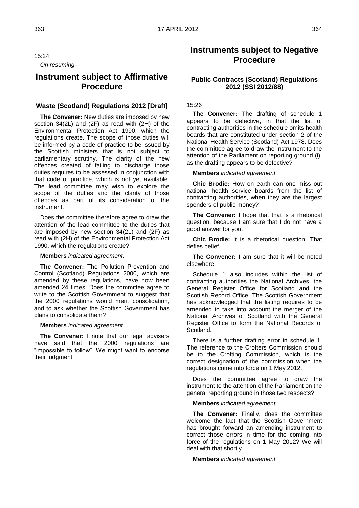15:24 *On resuming—*

## **Instrument subject to Affirmative Procedure**

#### **Waste (Scotland) Regulations 2012 [Draft]**

**The Convener:** New duties are imposed by new section 34(2L) and (2F) as read with (2H) of the Environmental Protection Act 1990, which the regulations create. The scope of those duties will be informed by a code of practice to be issued by the Scottish ministers that is not subject to parliamentary scrutiny. The clarity of the new offences created of failing to discharge those duties requires to be assessed in conjunction with that code of practice, which is not yet available. The lead committee may wish to explore the scope of the duties and the clarity of those offences as part of its consideration of the instrument.

Does the committee therefore agree to draw the attention of the lead committee to the duties that are imposed by new section 34(2L) and (2F) as read with (2H) of the Environmental Protection Act 1990, which the regulations create?

#### **Members** *indicated agreement.*

**The Convener:** The Pollution Prevention and Control (Scotland) Regulations 2000, which are amended by these regulations, have now been amended 24 times. Does the committee agree to write to the Scottish Government to suggest that the 2000 regulations would merit consolidation, and to ask whether the Scottish Government has plans to consolidate them?

#### **Members** *indicated agreement.*

**The Convener:** I note that our legal advisers have said that the 2000 regulations are "impossible to follow". We might want to endorse their judgment.

## **Instruments subject to Negative Procedure**

#### **Public Contracts (Scotland) Regulations 2012 (SSI 2012/88)**

#### 15:26

**The Convener:** The drafting of schedule 1 appears to be defective, in that the list of contracting authorities in the schedule omits health boards that are constituted under section 2 of the National Health Service (Scotland) Act 1978. Does the committee agree to draw the instrument to the attention of the Parliament on reporting ground (i), as the drafting appears to be defective?

**Members** *indicated agreement.*

**Chic Brodie:** How on earth can one miss out national health service boards from the list of contracting authorities, when they are the largest spenders of public money?

**The Convener:** I hope that that is a rhetorical question, because I am sure that I do not have a good answer for you.

**Chic Brodie:** It is a rhetorical question. That defies belief.

**The Convener:** I am sure that it will be noted elsewhere.

Schedule 1 also includes within the list of contracting authorities the National Archives, the General Register Office for Scotland and the Scottish Record Office. The Scottish Government has acknowledged that the listing requires to be amended to take into account the merger of the National Archives of Scotland with the General Register Office to form the National Records of Scotland.

There is a further drafting error in schedule 1. The reference to the Crofters Commission should be to the Crofting Commission, which is the correct designation of the commission when the regulations come into force on 1 May 2012.

Does the committee agree to draw the instrument to the attention of the Parliament on the general reporting ground in those two respects?

#### **Members** *indicated agreement.*

**The Convener:** Finally, does the committee welcome the fact that the Scottish Government has brought forward an amending instrument to correct those errors in time for the coming into force of the regulations on 1 May 2012? We will deal with that shortly.

**Members** *indicated agreement.*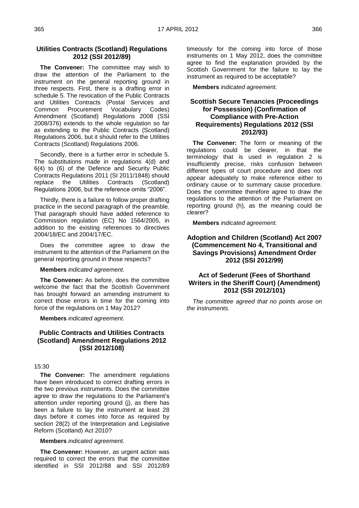#### **Utilities Contracts (Scotland) Regulations 2012 (SSI 2012/89)**

**The Convener:** The committee may wish to draw the attention of the Parliament to the instrument on the general reporting ground in three respects. First, there is a drafting error in schedule 5. The revocation of the Public Contracts and Utilities Contracts (Postal Services and Common Procurement Vocabulary Codes) Amendment (Scotland) Regulations 2008 (SSI 2008/376) extends to the whole regulation so far as extending to the Public Contracts (Scotland) Regulations 2006, but it should refer to the Utilities Contracts (Scotland) Regulations 2006.

Secondly, there is a further error in schedule 5. The substitutions made in regulations 4(d) and 6(4) to (6) of the Defence and Security Public Contracts Regulations 2011 (SI 2011/1848) should replace the Utilities Contracts (Scotland) Regulations 2006, but the reference omits "2006".

Thirdly, there is a failure to follow proper drafting practice in the second paragraph of the preamble. That paragraph should have added reference to Commission regulation (EC) No 1564/2005, in addition to the existing references to directives 2004/18/EC and 2004/17/EC.

Does the committee agree to draw the instrument to the attention of the Parliament on the general reporting ground in those respects?

**Members** *indicated agreement.*

**The Convener:** As before, does the committee welcome the fact that the Scottish Government has brought forward an amending instrument to correct those errors in time for the coming into force of the regulations on 1 May 2012?

**Members** *indicated agreement.*

#### **Public Contracts and Utilities Contracts (Scotland) Amendment Regulations 2012 (SSI 2012/108)**

#### 15:30

**The Convener:** The amendment regulations have been introduced to correct drafting errors in the two previous instruments. Does the committee agree to draw the regulations to the Parliament"s attention under reporting ground (j), as there has been a failure to lay the instrument at least 28 days before it comes into force as required by section 28(2) of the Interpretation and Legislative Reform (Scotland) Act 2010?

**Members** *indicated agreement.*

**The Convener:** However, as urgent action was required to correct the errors that the committee identified in SSI 2012/88 and SSI 2012/89 timeously for the coming into force of those instruments on 1 May 2012, does the committee agree to find the explanation provided by the Scottish Government for the failure to lay the instrument as required to be acceptable?

**Members** *indicated agreement.*

#### **Scottish Secure Tenancies (Proceedings for Possession) (Confirmation of Compliance with Pre-Action Requirements) Regulations 2012 (SSI 2012/93)**

**The Convener:** The form or meaning of the regulations could be clearer, in that the terminology that is used in regulation 2 is insufficiently precise, risks confusion between different types of court procedure and does not appear adequately to make reference either to ordinary cause or to summary cause procedure. Does the committee therefore agree to draw the regulations to the attention of the Parliament on reporting ground (h), as the meaning could be clearer?

**Members** *indicated agreement.*

#### **Adoption and Children (Scotland) Act 2007 (Commencement No 4, Transitional and Savings Provisions) Amendment Order 2012 (SSI 2012/99)**

#### **Act of Sederunt (Fees of Shorthand Writers in the Sheriff Court) (Amendment) 2012 (SSI 2012/101)**

*The committee agreed that no points arose on the instruments.*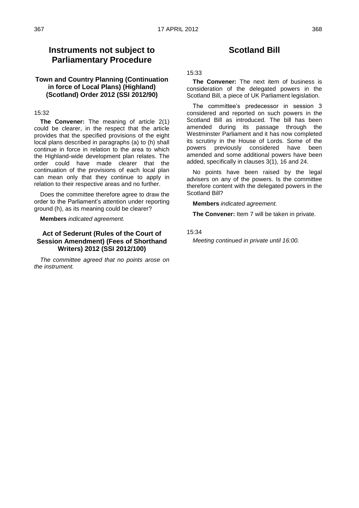### **Instruments not subject to Parliamentary Procedure**

#### **Town and Country Planning (Continuation in force of Local Plans) (Highland) (Scotland) Order 2012 (SSI 2012/90)**

#### 15:32

**The Convener:** The meaning of article 2(1) could be clearer, in the respect that the article provides that the specified provisions of the eight local plans described in paragraphs (a) to (h) shall continue in force in relation to the area to which the Highland-wide development plan relates. The order could have made clearer that the continuation of the provisions of each local plan can mean only that they continue to apply in relation to their respective areas and no further.

Does the committee therefore agree to draw the order to the Parliament"s attention under reporting ground (h), as its meaning could be clearer?

**Members** *indicated agreement.*

#### **Act of Sederunt (Rules of the Court of Session Amendment) (Fees of Shorthand Writers) 2012 (SSI 2012/100)**

*The committee agreed that no points arose on the instrument.*

## **Scotland Bill**

#### 15:33

**The Convener:** The next item of business is consideration of the delegated powers in the Scotland Bill, a piece of UK Parliament legislation.

The committee"s predecessor in session 3 considered and reported on such powers in the Scotland Bill as introduced. The bill has been amended during its passage through the Westminster Parliament and it has now completed its scrutiny in the House of Lords. Some of the powers previously considered have been amended and some additional powers have been added, specifically in clauses 3(1), 16 and 24.

No points have been raised by the legal advisers on any of the powers. Is the committee therefore content with the delegated powers in the Scotland Bill?

**Members** *indicated agreement.*

**The Convener:** Item 7 will be taken in private.

15:34

*Meeting continued in private until 16:00.*